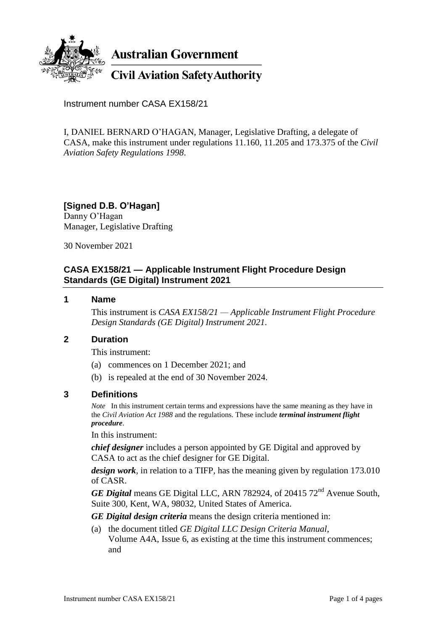

**Australian Government** 

**Civil Aviation Safety Authority** 

Instrument number CASA EX158/21

I, DANIEL BERNARD O'HAGAN, Manager, Legislative Drafting, a delegate of CASA, make this instrument under regulations 11.160, 11.205 and 173.375 of the *Civil Aviation Safety Regulations 1998*.

**[Signed D.B. O'Hagan]** Danny O'Hagan Manager, Legislative Drafting

30 November 2021

## **CASA EX158/21 — Applicable Instrument Flight Procedure Design Standards (GE Digital) Instrument 2021**

#### **1 Name**

This instrument is *CASA EX158/21 — Applicable Instrument Flight Procedure Design Standards (GE Digital) Instrument 2021*.

## **2 Duration**

This instrument:

- (a) commences on 1 December 2021; and
- (b) is repealed at the end of 30 November 2024.

#### **3 Definitions**

*Note* In this instrument certain terms and expressions have the same meaning as they have in the *Civil Aviation Act 1988* and the regulations. These include *terminal instrument flight procedure*.

In this instrument:

*chief designer* includes a person appointed by GE Digital and approved by CASA to act as the chief designer for GE Digital.

*design work*, in relation to a TIFP, has the meaning given by regulation 173.010 of CASR.

*GE Digital* means GE Digital LLC, ARN 782924, of 20415 72<sup>nd</sup> Avenue South, Suite 300, Kent, WA, 98032, United States of America.

*GE Digital design criteria* means the design criteria mentioned in:

(a) the document titled *GE Digital LLC Design Criteria Manual*, Volume A4A, Issue 6, as existing at the time this instrument commences; and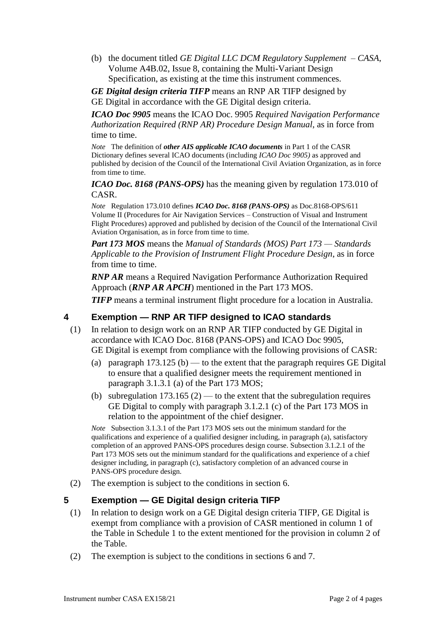(b) the document titled *GE Digital LLC DCM Regulatory Supplement – CASA*, Volume A4B.02, Issue 8, containing the Multi-Variant Design Specification, as existing at the time this instrument commences.

*GE Digital design criteria TIFP* means an RNP AR TIFP designed by GE Digital in accordance with the GE Digital design criteria.

*ICAO Doc 9905* means the ICAO Doc. 9905 *Required Navigation Performance Authorization Required (RNP AR) Procedure Design Manual*, as in force from time to time.

*Note* The definition of *other AIS applicable ICAO documents* in Part 1 of the CASR Dictionary defines several ICAO documents (including *ICAO Doc 9905)* as approved and published by decision of the Council of the International Civil Aviation Organization, as in force from time to time.

*ICAO Doc. 8168 (PANS-OPS)* has the meaning given by regulation 173.010 of CASR.

*Note* Regulation 173.010 defines *ICAO Doc. 8168 (PANS-OPS)* as Doc.8168-OPS/611 Volume II (Procedures for Air Navigation Services – Construction of Visual and Instrument Flight Procedures) approved and published by decision of the Council of the International Civil Aviation Organisation, as in force from time to time.

*Part 173 MOS* means the *Manual of Standards (MOS) Part 173 — Standards Applicable to the Provision of Instrument Flight Procedure Design*, as in force from time to time.

*RNP AR* means a Required Navigation Performance Authorization Required Approach (*RNP AR APCH*) mentioned in the Part 173 MOS.

*TIFP* means a terminal instrument flight procedure for a location in Australia.

### **4 Exemption — RNP AR TIFP designed to ICAO standards**

- (1) In relation to design work on an RNP AR TIFP conducted by GE Digital in accordance with ICAO Doc. 8168 (PANS-OPS) and ICAO Doc 9905, GE Digital is exempt from compliance with the following provisions of CASR:
	- (a) paragraph  $173.125$  (b) to the extent that the paragraph requires GE Digital to ensure that a qualified designer meets the requirement mentioned in paragraph 3.1.3.1 (a) of the Part 173 MOS;
	- (b) subregulation  $173.165$  (2) to the extent that the subregulation requires GE Digital to comply with paragraph 3.1.2.1 (c) of the Part 173 MOS in relation to the appointment of the chief designer.

*Note* Subsection 3.1.3.1 of the Part 173 MOS sets out the minimum standard for the qualifications and experience of a qualified designer including, in paragraph (a), satisfactory completion of an approved PANS-OPS procedures design course. Subsection 3.1.2.1 of the Part 173 MOS sets out the minimum standard for the qualifications and experience of a chief designer including, in paragraph (c), satisfactory completion of an advanced course in PANS-OPS procedure design.

(2) The exemption is subject to the conditions in section 6.

#### **5 Exemption — GE Digital design criteria TIFP**

- (1) In relation to design work on a GE Digital design criteria TIFP, GE Digital is exempt from compliance with a provision of CASR mentioned in column 1 of the Table in Schedule 1 to the extent mentioned for the provision in column 2 of the Table.
- (2) The exemption is subject to the conditions in sections 6 and 7.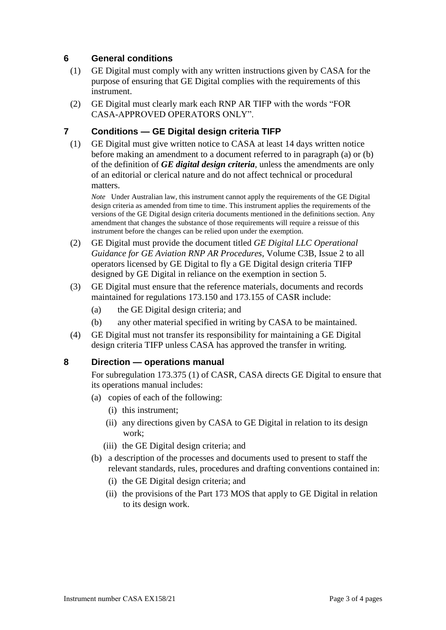## **6 General conditions**

- (1) GE Digital must comply with any written instructions given by CASA for the purpose of ensuring that GE Digital complies with the requirements of this instrument.
- (2) GE Digital must clearly mark each RNP AR TIFP with the words "FOR CASA-APPROVED OPERATORS ONLY".

#### **7 Conditions — GE Digital design criteria TIFP**

(1) GE Digital must give written notice to CASA at least 14 days written notice before making an amendment to a document referred to in paragraph (a) or (b) of the definition of *GE digital design criteria*, unless the amendments are only of an editorial or clerical nature and do not affect technical or procedural matters.

*Note* Under Australian law, this instrument cannot apply the requirements of the GE Digital design criteria as amended from time to time. This instrument applies the requirements of the versions of the GE Digital design criteria documents mentioned in the definitions section. Any amendment that changes the substance of those requirements will require a reissue of this instrument before the changes can be relied upon under the exemption.

- (2) GE Digital must provide the document titled *GE Digital LLC Operational Guidance for GE Aviation RNP AR Procedures*, Volume C3B, Issue 2 to all operators licensed by GE Digital to fly a GE Digital design criteria TIFP designed by GE Digital in reliance on the exemption in section 5.
- (3) GE Digital must ensure that the reference materials, documents and records maintained for regulations 173.150 and 173.155 of CASR include:
	- (a) the GE Digital design criteria; and
	- (b) any other material specified in writing by CASA to be maintained.
- (4) GE Digital must not transfer its responsibility for maintaining a GE Digital design criteria TIFP unless CASA has approved the transfer in writing.

#### **8 Direction — operations manual**

For subregulation 173.375 (1) of CASR, CASA directs GE Digital to ensure that its operations manual includes:

- (a) copies of each of the following:
	- (i) this instrument;
	- (ii) any directions given by CASA to GE Digital in relation to its design work;
	- (iii) the GE Digital design criteria; and
- (b) a description of the processes and documents used to present to staff the relevant standards, rules, procedures and drafting conventions contained in:
	- (i) the GE Digital design criteria; and
	- (ii) the provisions of the Part 173 MOS that apply to GE Digital in relation to its design work.